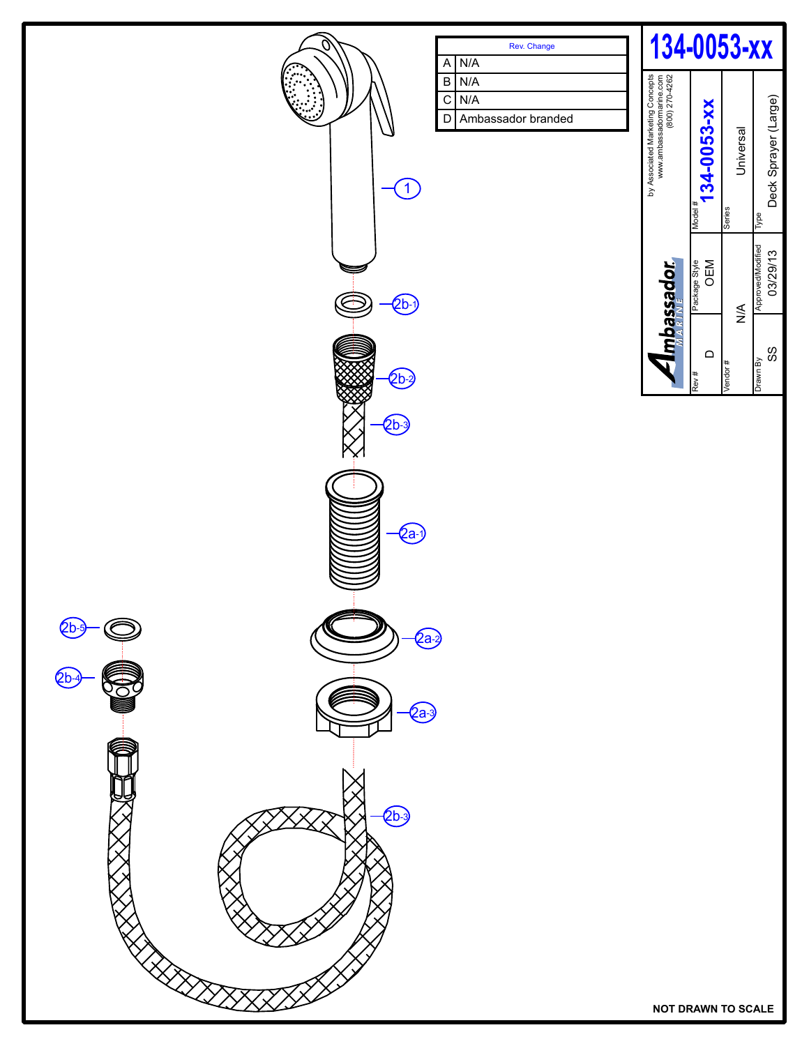